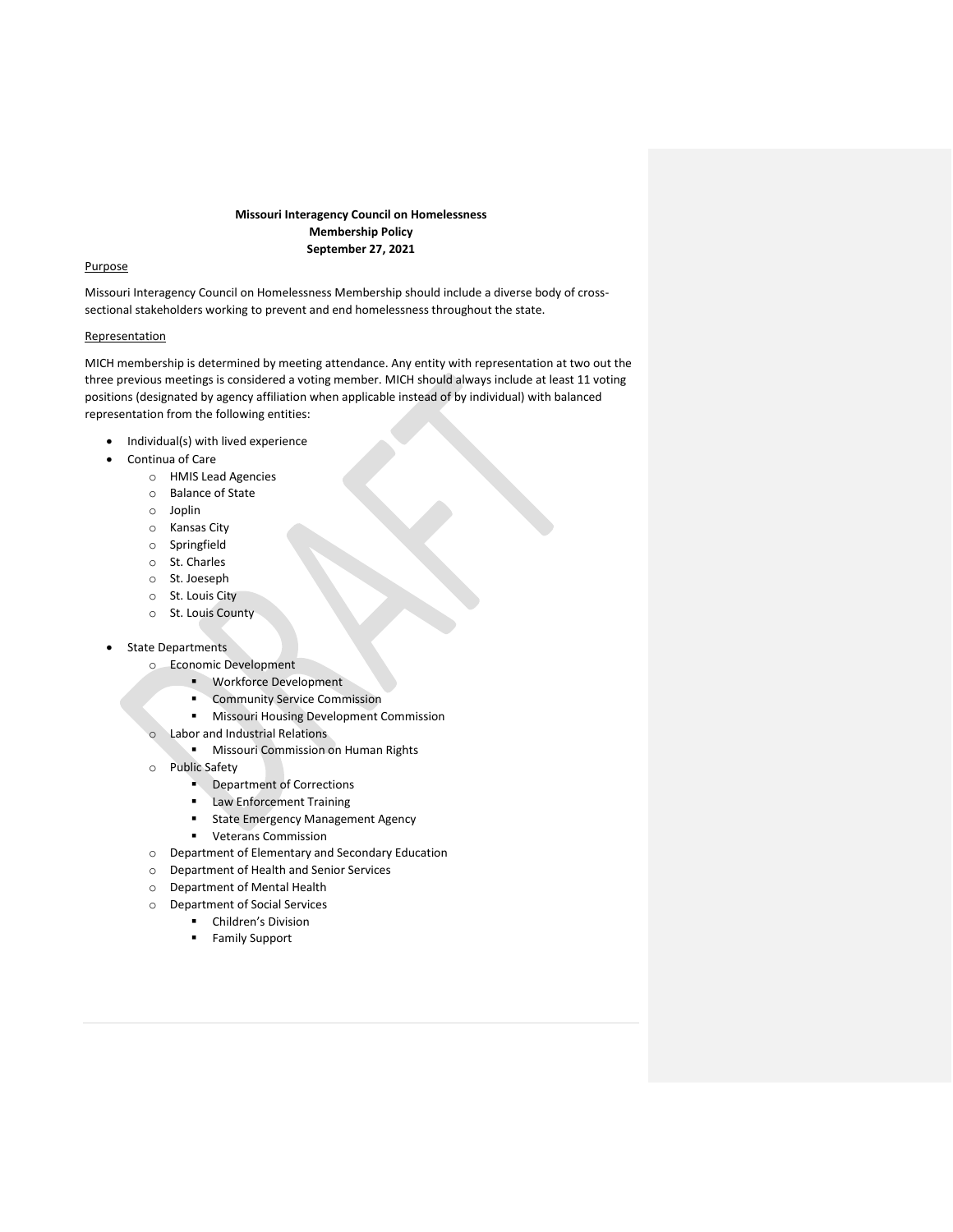# **Missouri Interagency Council on Homelessness Membership Policy September 27, 2021**

# Purpose

Missouri Interagency Council on Homelessness Membership should include a diverse body of crosssectional stakeholders working to prevent and end homelessness throughout the state.

## Representation

MICH membership is determined by meeting attendance. Any entity with representation at two out the three previous meetings is considered a voting member. MICH should always include at least 11 voting positions (designated by agency affiliation when applicable instead of by individual) with balanced representation from the following entities:

- Individual(s) with lived experience
- Continua of Care
	- o HMIS Lead Agencies
	- o Balance of State
	- o Joplin
	- o Kansas City
	- o Springfield
	- o St. Charles
	- o St. Joeseph
	- o St. Louis City
	- o St. Louis County
- **State Departments** 
	- o Economic Development
		- Workforce Development
		- **Community Service Commission**
		- **■** Missouri Housing Development Commission
	- o Labor and Industrial Relations
		- **■** Missouri Commission on Human Rights
	- o Public Safety
		- Department of Corrections
		- **■** Law Enforcement Training
		- **■** State Emergency Management Agency
		- Veterans Commission
	- o Department of Elementary and Secondary Education
	- o Department of Health and Senior Services
	- o Department of Mental Health
	- o Department of Social Services
		- Children's Division
		- Family Support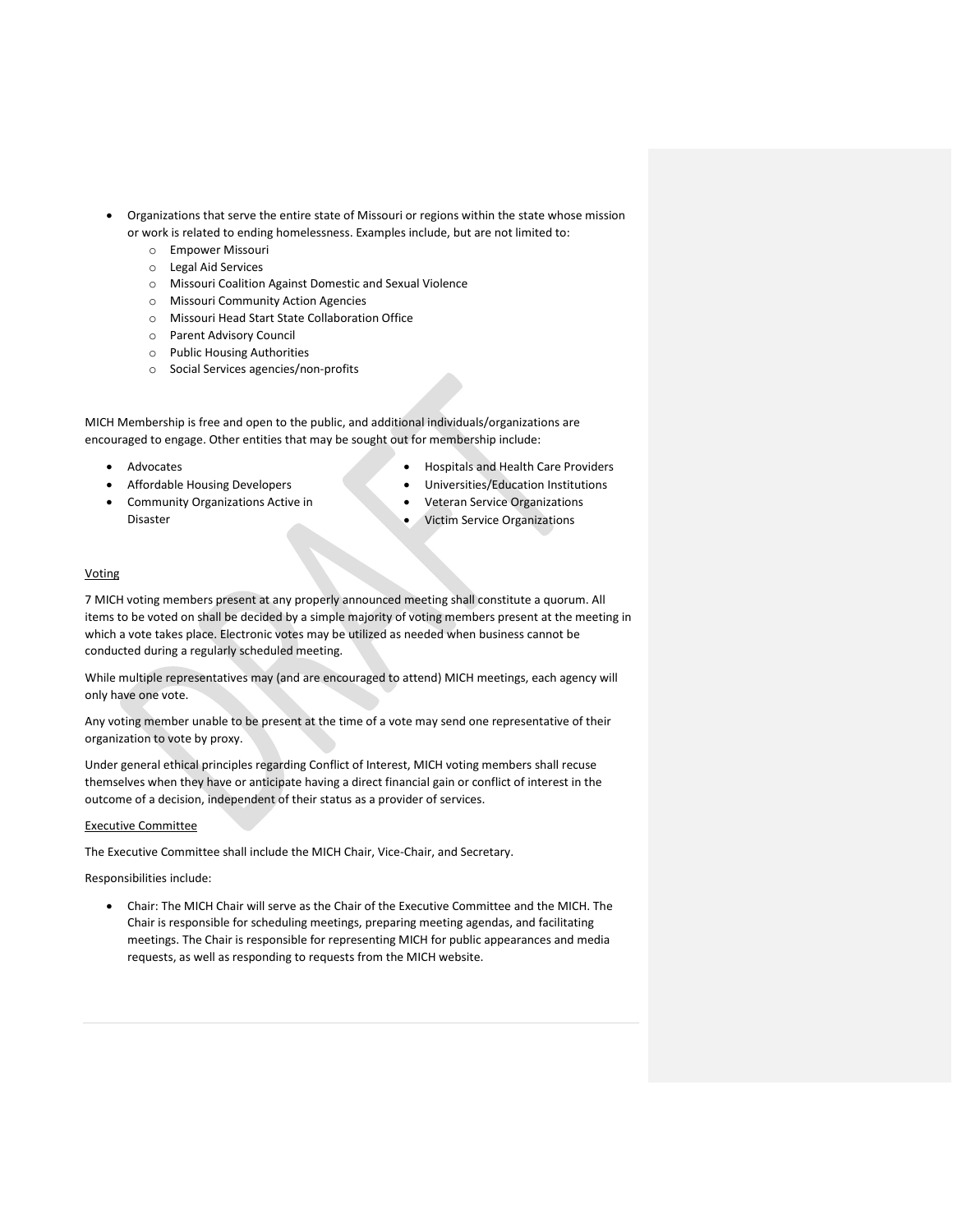- Organizations that serve the entire state of Missouri or regions within the state whose mission or work is related to ending homelessness. Examples include, but are not limited to:
	- o Empower Missouri
	- o Legal Aid Services
	- o Missouri Coalition Against Domestic and Sexual Violence
	- o Missouri Community Action Agencies
	- o Missouri Head Start State Collaboration Office
	- o Parent Advisory Council
	- o Public Housing Authorities
	- o Social Services agencies/non-profits

MICH Membership is free and open to the public, and additional individuals/organizations are encouraged to engage. Other entities that may be sought out for membership include:

**Advocates** 

- Hospitals and Health Care Providers
- Universities/Education Institutions
- Community Organizations Active in Disaster

• Affordable Housing Developers

- Veteran Service Organizations
- Victim Service Organizations

# Voting

7 MICH voting members present at any properly announced meeting shall constitute a quorum. All items to be voted on shall be decided by a simple majority of voting members present at the meeting in which a vote takes place. Electronic votes may be utilized as needed when business cannot be conducted during a regularly scheduled meeting.

While multiple representatives may (and are encouraged to attend) MICH meetings, each agency will only have one vote.

Any voting member unable to be present at the time of a vote may send one representative of their organization to vote by proxy.

Under general ethical principles regarding Conflict of Interest, MICH voting members shall recuse themselves when they have or anticipate having a direct financial gain or conflict of interest in the outcome of a decision, independent of their status as a provider of services.

## Executive Committee

The Executive Committee shall include the MICH Chair, Vice-Chair, and Secretary.

Responsibilities include:

• Chair: The MICH Chair will serve as the Chair of the Executive Committee and the MICH. The Chair is responsible for scheduling meetings, preparing meeting agendas, and facilitating meetings. The Chair is responsible for representing MICH for public appearances and media requests, as well as responding to requests from the MICH website.